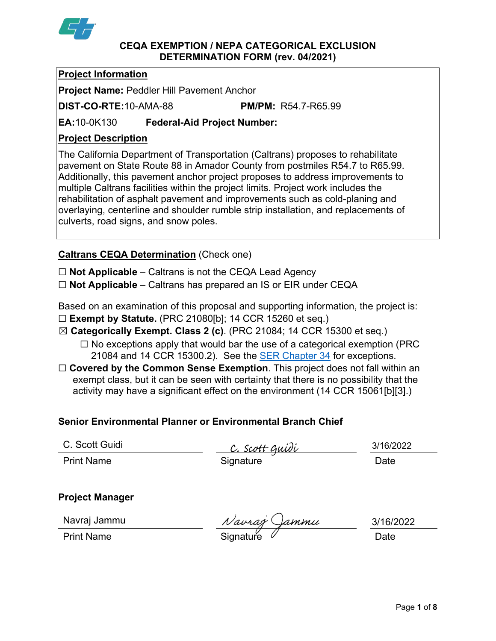

#### **CEQA EXEMPTION / NEPA CATEGORICAL EXCLUSION DETERMINATION FORM (rev. 04/2021)**

## **Project Information**

**Project Name:** Peddler Hill Pavement Anchor

**DIST-CO-RTE:**10-AMA-88 **PM/PM:** R54.7-R65.99

**EA:**10-0K130 **Federal-Aid Project Number:**

# **Project Description**

The California Department of Transportation (Caltrans) proposes to rehabilitate pavement on State Route 88 in Amador County from postmiles R54.7 to R65.99. Additionally, this pavement anchor project proposes to address improvements to multiple Caltrans facilities within the project limits. Project work includes the rehabilitation of asphalt pavement and improvements such as cold-planing and overlaying, centerline and shoulder rumble strip installation, and replacements of culverts, road signs, and snow poles.

# **Caltrans CEQA Determination** (Check one)

☐ **Not Applicable** – Caltrans is not the CEQA Lead Agency

☐ **Not Applicable** – Caltrans has prepared an IS or EIR under CEQA

Based on an examination of this proposal and supporting information, the project is:

- ☐ **Exempt by Statute.** (PRC 21080[b]; 14 CCR 15260 et seq.)
- ☒ **Categorically Exempt. Class 2 (c)**. (PRC 21084; 14 CCR 15300 et seq.)
	- $\Box$  No exceptions apply that would bar the use of a categorical exemption (PRC 21084 and 14 CCR 15300.2). See the **SER Chapter 34** for exceptions.
- □ **Covered by the Common Sense Exemption**. This project does not fall within an exempt class, but it can be seen with certainty that there is no possibility that the activity may have a significant effect on the environment (14 CCR 15061[b][3].)

# **Senior Environmental Planner or Environmental Branch Chief**

C. Scott Guidi

<u>C. Scott Guidi</u> Print Name **Signature Date** 

3/16/2022

# **Project Manager**

Navraj Jammu

Navraj Jammu *Navraj Gammu* 3/16/2<br>Print Name Signature *Navraj Gammu* Date

3/16/2022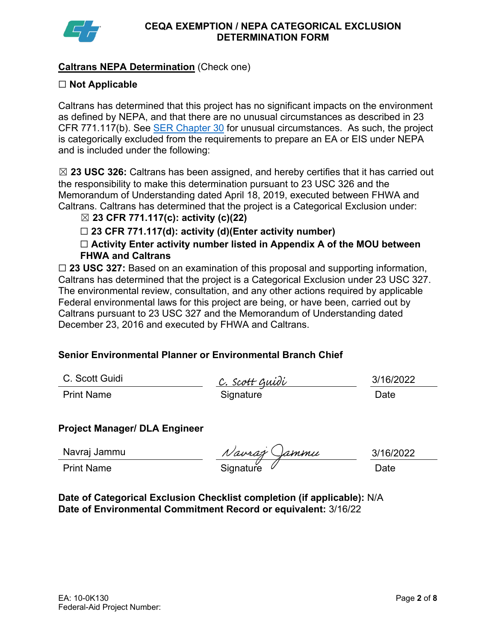

## **Caltrans NEPA Determination** (Check one)

## ☐ **Not Applicable**

Caltrans has determined that this project has no significant impacts on the environment as defined by NEPA, and that there are no unusual circumstances as described in 23 CFR 771.117(b). See [SER Chapter 30](https://dot.ca.gov/programs/environmental-analysis/standard-environmental-reference-ser/volume-1-guidance-for-compliance/ch-30-categorical-exclusions#exception) for unusual circumstances. As such, the project is categorically excluded from the requirements to prepare an EA or EIS under NEPA and is included under the following:

☒ **23 USC 326:** Caltrans has been assigned, and hereby certifies that it has carried out the responsibility to make this determination pursuant to 23 USC 326 and the Memorandum of Understanding dated April 18, 2019, executed between FHWA and Caltrans. Caltrans has determined that the project is a Categorical Exclusion under:

## ☒ **23 CFR 771.117(c): activity (c)(22)**

☐ **23 CFR 771.117(d): activity (d)(Enter activity number)** 

☐ **Activity Enter activity number listed in Appendix A of the MOU between FHWA and Caltrans** 

☐ **23 USC 327:** Based on an examination of this proposal and supporting information, Caltrans has determined that the project is a Categorical Exclusion under 23 USC 327. The environmental review, consultation, and any other actions required by applicable Federal environmental laws for this project are being, or have been, carried out by Caltrans pursuant to 23 USC 327 and the Memorandum of Understanding dated December 23, 2016 and executed by FHWA and Caltrans.

# **Senior Environmental Planner or Environmental Branch Chief**

|  |  |  | C. Scott Guidi |
|--|--|--|----------------|
|--|--|--|----------------|

<u>C. Scott Guidi</u> Print Name **Signature** Signature **Date** 

3/16/2022

# **Project Manager/ DLA Engineer**

| Navraj Jammu      | Navraz Jammu     | 3/16/2 |
|-------------------|------------------|--------|
| <b>Print Name</b> | Signature $\ell$ | Date   |

3/16/2022

**Date of Categorical Exclusion Checklist completion (if applicable):** N/A **Date of Environmental Commitment Record or equivalent:** 3/16/22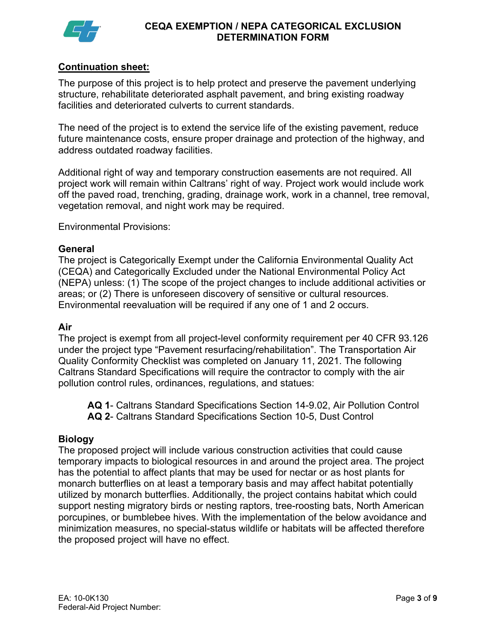

## **Continuation sheet:**

The purpose of this project is to help protect and preserve the pavement underlying structure, rehabilitate deteriorated asphalt pavement, and bring existing roadway facilities and deteriorated culverts to current standards.

The need of the project is to extend the service life of the existing pavement, reduce future maintenance costs, ensure proper drainage and protection of the highway, and address outdated roadway facilities.

Additional right of way and temporary construction easements are not required. All project work will remain within Caltrans' right of way. Project work would include work off the paved road, trenching, grading, drainage work, work in a channel, tree removal, vegetation removal, and night work may be required.

Environmental Provisions:

### **General**

The project is Categorically Exempt under the California Environmental Quality Act (CEQA) and Categorically Excluded under the National Environmental Policy Act (NEPA) unless: (1) The scope of the project changes to include additional activities or areas; or (2) There is unforeseen discovery of sensitive or cultural resources. Environmental reevaluation will be required if any one of 1 and 2 occurs.

#### **Air**

The project is exempt from all project-level conformity requirement per 40 CFR 93.126 under the project type "Pavement resurfacing/rehabilitation". The Transportation Air Quality Conformity Checklist was completed on January 11, 2021. The following Caltrans Standard Specifications will require the contractor to comply with the air pollution control rules, ordinances, regulations, and statues:

**AQ 1**- Caltrans Standard Specifications Section 14-9.02, Air Pollution Control **AQ 2**- Caltrans Standard Specifications Section 10-5, Dust Control

## **Biology**

The proposed project will include various construction activities that could cause temporary impacts to biological resources in and around the project area. The project has the potential to affect plants that may be used for nectar or as host plants for monarch butterflies on at least a temporary basis and may affect habitat potentially utilized by monarch butterflies. Additionally, the project contains habitat which could support nesting migratory birds or nesting raptors, tree-roosting bats, North American porcupines, or bumblebee hives. With the implementation of the below avoidance and minimization measures, no special-status wildlife or habitats will be affected therefore the proposed project will have no effect.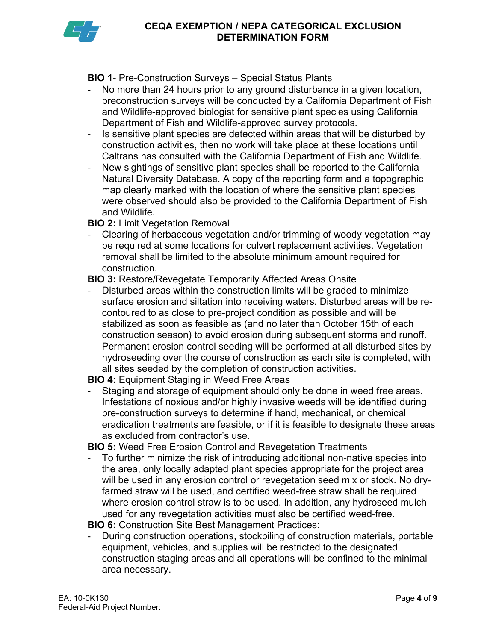

**BIO 1**- Pre-Construction Surveys – Special Status Plants

- No more than 24 hours prior to any ground disturbance in a given location, preconstruction surveys will be conducted by a California Department of Fish and Wildlife-approved biologist for sensitive plant species using California Department of Fish and Wildlife-approved survey protocols.
- Is sensitive plant species are detected within areas that will be disturbed by construction activities, then no work will take place at these locations until Caltrans has consulted with the California Department of Fish and Wildlife.
- New sightings of sensitive plant species shall be reported to the California Natural Diversity Database. A copy of the reporting form and a topographic map clearly marked with the location of where the sensitive plant species were observed should also be provided to the California Department of Fish and Wildlife.

**BIO 2:** Limit Vegetation Removal

- Clearing of herbaceous vegetation and/or trimming of woody vegetation may be required at some locations for culvert replacement activities. Vegetation removal shall be limited to the absolute minimum amount required for construction.

**BIO 3:** Restore/Revegetate Temporarily Affected Areas Onsite

Disturbed areas within the construction limits will be graded to minimize surface erosion and siltation into receiving waters. Disturbed areas will be recontoured to as close to pre-project condition as possible and will be stabilized as soon as feasible as (and no later than October 15th of each construction season) to avoid erosion during subsequent storms and runoff. Permanent erosion control seeding will be performed at all disturbed sites by hydroseeding over the course of construction as each site is completed, with all sites seeded by the completion of construction activities.

**BIO 4:** Equipment Staging in Weed Free Areas

Staging and storage of equipment should only be done in weed free areas. Infestations of noxious and/or highly invasive weeds will be identified during pre-construction surveys to determine if hand, mechanical, or chemical eradication treatments are feasible, or if it is feasible to designate these areas as excluded from contractor's use.

**BIO 5:** Weed Free Erosion Control and Revegetation Treatments

- To further minimize the risk of introducing additional non-native species into the area, only locally adapted plant species appropriate for the project area will be used in any erosion control or revegetation seed mix or stock. No dryfarmed straw will be used, and certified weed-free straw shall be required where erosion control straw is to be used. In addition, any hydroseed mulch used for any revegetation activities must also be certified weed-free.

**BIO 6:** Construction Site Best Management Practices:

During construction operations, stockpiling of construction materials, portable equipment, vehicles, and supplies will be restricted to the designated construction staging areas and all operations will be confined to the minimal area necessary.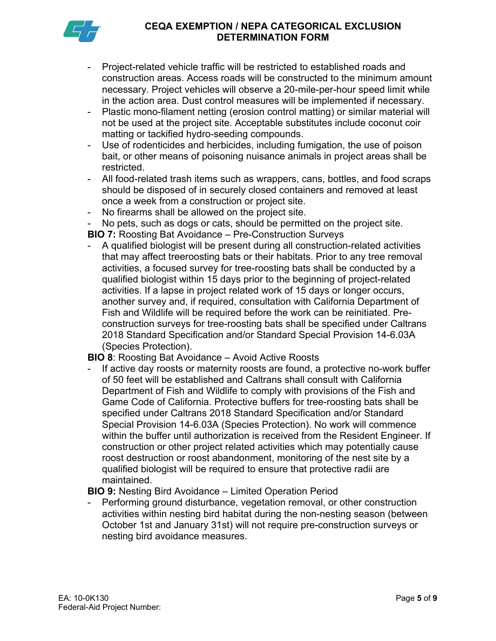

- Project-related vehicle traffic will be restricted to established roads and construction areas. Access roads will be constructed to the minimum amount necessary. Project vehicles will observe a 20-mile-per-hour speed limit while in the action area. Dust control measures will be implemented if necessary.
- Plastic mono-filament netting (erosion control matting) or similar material will not be used at the project site. Acceptable substitutes include coconut coir matting or tackified hydro-seeding compounds.
- Use of rodenticides and herbicides, including fumigation, the use of poison bait, or other means of poisoning nuisance animals in project areas shall be restricted.
- All food-related trash items such as wrappers, cans, bottles, and food scraps should be disposed of in securely closed containers and removed at least once a week from a construction or project site.
- No firearms shall be allowed on the project site.
- No pets, such as dogs or cats, should be permitted on the project site. **BIO 7:** Roosting Bat Avoidance – Pre-Construction Surveys
- A qualified biologist will be present during all construction-related activities that may affect treeroosting bats or their habitats. Prior to any tree removal activities, a focused survey for tree-roosting bats shall be conducted by a qualified biologist within 15 days prior to the beginning of project-related activities. If a lapse in project related work of 15 days or longer occurs, another survey and, if required, consultation with California Department of Fish and Wildlife will be required before the work can be reinitiated. Preconstruction surveys for tree-roosting bats shall be specified under Caltrans 2018 Standard Specification and/or Standard Special Provision 14-6.03A (Species Protection).

## **BIO 8**: Roosting Bat Avoidance – Avoid Active Roosts

- If active day roosts or maternity roosts are found, a protective no-work buffer of 50 feet will be established and Caltrans shall consult with California Department of Fish and Wildlife to comply with provisions of the Fish and Game Code of California. Protective buffers for tree-roosting bats shall be specified under Caltrans 2018 Standard Specification and/or Standard Special Provision 14-6.03A (Species Protection). No work will commence within the buffer until authorization is received from the Resident Engineer. If construction or other project related activities which may potentially cause roost destruction or roost abandonment, monitoring of the nest site by a qualified biologist will be required to ensure that protective radii are maintained.

# **BIO 9:** Nesting Bird Avoidance – Limited Operation Period

Performing ground disturbance, vegetation removal, or other construction activities within nesting bird habitat during the non-nesting season (between October 1st and January 31st) will not require pre-construction surveys or nesting bird avoidance measures.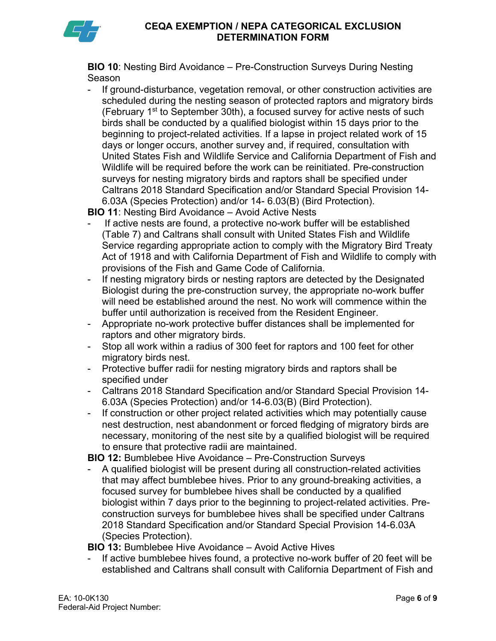

**BIO 10**: Nesting Bird Avoidance – Pre-Construction Surveys During Nesting Season

- If ground-disturbance, vegetation removal, or other construction activities are scheduled during the nesting season of protected raptors and migratory birds (February 1<sup>st</sup> to September 30th), a focused survey for active nests of such birds shall be conducted by a qualified biologist within 15 days prior to the beginning to project-related activities. If a lapse in project related work of 15 days or longer occurs, another survey and, if required, consultation with United States Fish and Wildlife Service and California Department of Fish and Wildlife will be required before the work can be reinitiated. Pre-construction surveys for nesting migratory birds and raptors shall be specified under Caltrans 2018 Standard Specification and/or Standard Special Provision 14- 6.03A (Species Protection) and/or 14- 6.03(B) (Bird Protection).

**BIO 11**: Nesting Bird Avoidance – Avoid Active Nests

- If active nests are found, a protective no-work buffer will be established (Table 7) and Caltrans shall consult with United States Fish and Wildlife Service regarding appropriate action to comply with the Migratory Bird Treaty Act of 1918 and with California Department of Fish and Wildlife to comply with provisions of the Fish and Game Code of California.
- If nesting migratory birds or nesting raptors are detected by the Designated Biologist during the pre-construction survey, the appropriate no-work buffer will need be established around the nest. No work will commence within the buffer until authorization is received from the Resident Engineer.
- Appropriate no-work protective buffer distances shall be implemented for raptors and other migratory birds.
- Stop all work within a radius of 300 feet for raptors and 100 feet for other migratory birds nest.
- Protective buffer radii for nesting migratory birds and raptors shall be specified under
- Caltrans 2018 Standard Specification and/or Standard Special Provision 14- 6.03A (Species Protection) and/or 14-6.03(B) (Bird Protection).
- If construction or other project related activities which may potentially cause nest destruction, nest abandonment or forced fledging of migratory birds are necessary, monitoring of the nest site by a qualified biologist will be required to ensure that protective radii are maintained.

**BIO 12:** Bumblebee Hive Avoidance – Pre-Construction Surveys

- A qualified biologist will be present during all construction-related activities that may affect bumblebee hives. Prior to any ground-breaking activities, a focused survey for bumblebee hives shall be conducted by a qualified biologist within 7 days prior to the beginning to project-related activities. Preconstruction surveys for bumblebee hives shall be specified under Caltrans 2018 Standard Specification and/or Standard Special Provision 14-6.03A (Species Protection).

**BIO 13:** Bumblebee Hive Avoidance – Avoid Active Hives

- If active bumblebee hives found, a protective no-work buffer of 20 feet will be established and Caltrans shall consult with California Department of Fish and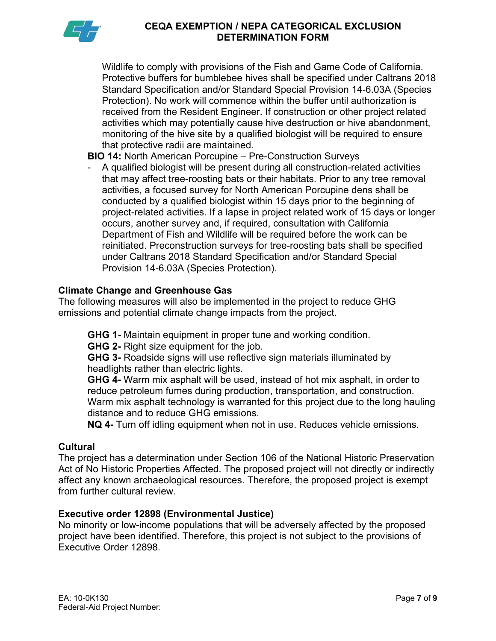

Wildlife to comply with provisions of the Fish and Game Code of California. Protective buffers for bumblebee hives shall be specified under Caltrans 2018 Standard Specification and/or Standard Special Provision 14-6.03A (Species Protection). No work will commence within the buffer until authorization is received from the Resident Engineer. If construction or other project related activities which may potentially cause hive destruction or hive abandonment, monitoring of the hive site by a qualified biologist will be required to ensure that protective radii are maintained.

## **BIO 14:** North American Porcupine – Pre-Construction Surveys

- A qualified biologist will be present during all construction-related activities that may affect tree-roosting bats or their habitats. Prior to any tree removal activities, a focused survey for North American Porcupine dens shall be conducted by a qualified biologist within 15 days prior to the beginning of project-related activities. If a lapse in project related work of 15 days or longer occurs, another survey and, if required, consultation with California Department of Fish and Wildlife will be required before the work can be reinitiated. Preconstruction surveys for tree-roosting bats shall be specified under Caltrans 2018 Standard Specification and/or Standard Special Provision 14-6.03A (Species Protection).

#### **Climate Change and Greenhouse Gas**

The following measures will also be implemented in the project to reduce GHG emissions and potential climate change impacts from the project.

**GHG 1-** Maintain equipment in proper tune and working condition.

**GHG 2-** Right size equipment for the job.

**GHG 3-** Roadside signs will use reflective sign materials illuminated by headlights rather than electric lights.

**GHG 4-** Warm mix asphalt will be used, instead of hot mix asphalt, in order to reduce petroleum fumes during production, transportation, and construction. Warm mix asphalt technology is warranted for this project due to the long hauling distance and to reduce GHG emissions.

**NQ 4-** Turn off idling equipment when not in use. Reduces vehicle emissions.

#### **Cultural**

The project has a determination under Section 106 of the National Historic Preservation Act of No Historic Properties Affected. The proposed project will not directly or indirectly affect any known archaeological resources. Therefore, the proposed project is exempt from further cultural review.

## **Executive order 12898 (Environmental Justice)**

No minority or low-income populations that will be adversely affected by the proposed project have been identified. Therefore, this project is not subject to the provisions of Executive Order 12898.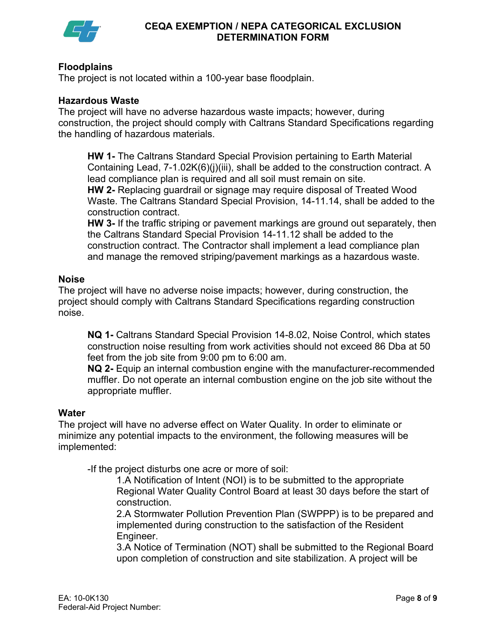

## **Floodplains**

The project is not located within a 100-year base floodplain.

### **Hazardous Waste**

The project will have no adverse hazardous waste impacts; however, during construction, the project should comply with Caltrans Standard Specifications regarding the handling of hazardous materials.

**HW 1-** The Caltrans Standard Special Provision pertaining to Earth Material Containing Lead, 7-1.02K(6)(j)(iii), shall be added to the construction contract. A lead compliance plan is required and all soil must remain on site. **HW 2-** Replacing guardrail or signage may require disposal of Treated Wood Waste. The Caltrans Standard Special Provision, 14-11.14, shall be added to the construction contract.

**HW 3-** If the traffic striping or pavement markings are ground out separately, then the Caltrans Standard Special Provision 14-11.12 shall be added to the construction contract. The Contractor shall implement a lead compliance plan and manage the removed striping/pavement markings as a hazardous waste.

### **Noise**

The project will have no adverse noise impacts; however, during construction, the project should comply with Caltrans Standard Specifications regarding construction noise.

**NQ 1-** Caltrans Standard Special Provision 14-8.02, Noise Control, which states construction noise resulting from work activities should not exceed 86 Dba at 50 feet from the job site from 9:00 pm to 6:00 am.

**NQ 2-** Equip an internal combustion engine with the manufacturer-recommended muffler. Do not operate an internal combustion engine on the job site without the appropriate muffler.

#### **Water**

The project will have no adverse effect on Water Quality. In order to eliminate or minimize any potential impacts to the environment, the following measures will be implemented:

-If the project disturbs one acre or more of soil:

1.A Notification of Intent (NOI) is to be submitted to the appropriate Regional Water Quality Control Board at least 30 days before the start of construction.

2.A Stormwater Pollution Prevention Plan (SWPPP) is to be prepared and implemented during construction to the satisfaction of the Resident Engineer.

3.A Notice of Termination (NOT) shall be submitted to the Regional Board upon completion of construction and site stabilization. A project will be